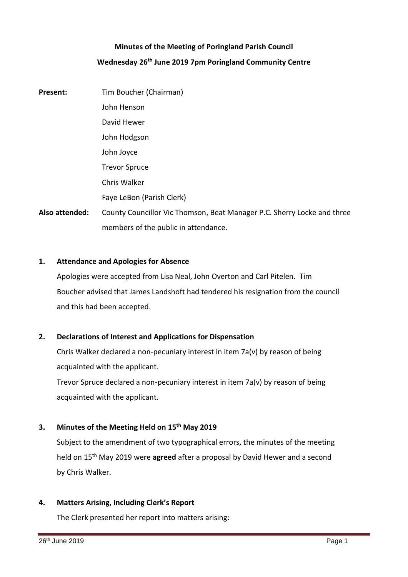# **Minutes of the Meeting of Poringland Parish Council Wednesday 26th June 2019 7pm Poringland Community Centre**

**Present:** Tim Boucher (Chairman) John Henson David Hewer John Hodgson John Joyce Trevor Spruce Chris Walker Faye LeBon (Parish Clerk) **Also attended:** County Councillor Vic Thomson, Beat Manager P.C. Sherry Locke and three

### **1. Attendance and Apologies for Absence**

Apologies were accepted from Lisa Neal, John Overton and Carl Pitelen. Tim Boucher advised that James Landshoft had tendered his resignation from the council and this had been accepted.

### **2. Declarations of Interest and Applications for Dispensation**

members of the public in attendance.

Chris Walker declared a non-pecuniary interest in item 7a(v) by reason of being acquainted with the applicant.

Trevor Spruce declared a non-pecuniary interest in item 7a(v) by reason of being acquainted with the applicant.

### **3. Minutes of the Meeting Held on 15th May 2019**

Subject to the amendment of two typographical errors, the minutes of the meeting held on 15th May 2019 were **agreed** after a proposal by David Hewer and a second by Chris Walker.

### **4. Matters Arising, Including Clerk's Report**

The Clerk presented her report into matters arising: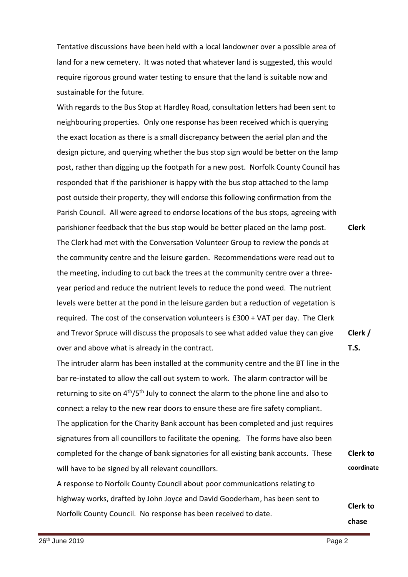Tentative discussions have been held with a local landowner over a possible area of land for a new cemetery. It was noted that whatever land is suggested, this would require rigorous ground water testing to ensure that the land is suitable now and sustainable for the future.

With regards to the Bus Stop at Hardley Road, consultation letters had been sent to neighbouring properties. Only one response has been received which is querying the exact location as there is a small discrepancy between the aerial plan and the design picture, and querying whether the bus stop sign would be better on the lamp post, rather than digging up the footpath for a new post. Norfolk County Council has responded that if the parishioner is happy with the bus stop attached to the lamp post outside their property, they will endorse this following confirmation from the Parish Council. All were agreed to endorse locations of the bus stops, agreeing with parishioner feedback that the bus stop would be better placed on the lamp post. The Clerk had met with the Conversation Volunteer Group to review the ponds at the community centre and the leisure garden. Recommendations were read out to the meeting, including to cut back the trees at the community centre over a threeyear period and reduce the nutrient levels to reduce the pond weed. The nutrient levels were better at the pond in the leisure garden but a reduction of vegetation is required. The cost of the conservation volunteers is £300 + VAT per day. The Clerk and Trevor Spruce will discuss the proposals to see what added value they can give over and above what is already in the contract. **Clerk Clerk / T.S.**

The intruder alarm has been installed at the community centre and the BT line in the bar re-instated to allow the call out system to work. The alarm contractor will be returning to site on 4<sup>th</sup>/5<sup>th</sup> July to connect the alarm to the phone line and also to connect a relay to the new rear doors to ensure these are fire safety compliant. The application for the Charity Bank account has been completed and just requires signatures from all councillors to facilitate the opening. The forms have also been completed for the change of bank signatories for all existing bank accounts. These will have to be signed by all relevant councillors. **Clerk to coordinate**

A response to Norfolk County Council about poor communications relating to highway works, drafted by John Joyce and David Gooderham, has been sent to Norfolk County Council. No response has been received to date.

**Clerk to**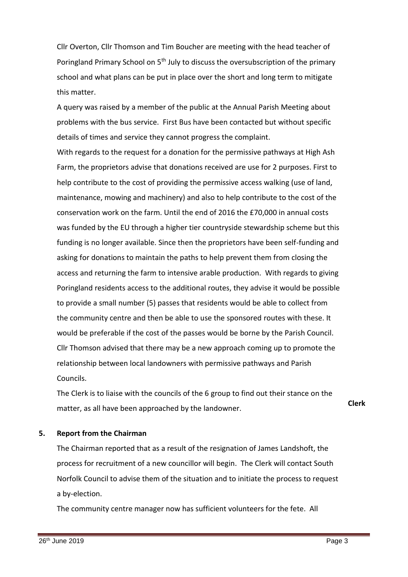Cllr Overton, Cllr Thomson and Tim Boucher are meeting with the head teacher of Poringland Primary School on 5<sup>th</sup> July to discuss the oversubscription of the primary school and what plans can be put in place over the short and long term to mitigate this matter.

A query was raised by a member of the public at the Annual Parish Meeting about problems with the bus service. First Bus have been contacted but without specific details of times and service they cannot progress the complaint.

With regards to the request for a donation for the permissive pathways at High Ash Farm, the proprietors advise that donations received are use for 2 purposes. First to help contribute to the cost of providing the permissive access walking (use of land, maintenance, mowing and machinery) and also to help contribute to the cost of the conservation work on the farm. Until the end of 2016 the £70,000 in annual costs was funded by the EU through a higher tier countryside stewardship scheme but this funding is no longer available. Since then the proprietors have been self-funding and asking for donations to maintain the paths to help prevent them from closing the access and returning the farm to intensive arable production. With regards to giving Poringland residents access to the additional routes, they advise it would be possible to provide a small number (5) passes that residents would be able to collect from the community centre and then be able to use the sponsored routes with these. It would be preferable if the cost of the passes would be borne by the Parish Council. Cllr Thomson advised that there may be a new approach coming up to promote the relationship between local landowners with permissive pathways and Parish Councils.

The Clerk is to liaise with the councils of the 6 group to find out their stance on the matter, as all have been approached by the landowner.

### **5. Report from the Chairman**

The Chairman reported that as a result of the resignation of James Landshoft, the process for recruitment of a new councillor will begin. The Clerk will contact South Norfolk Council to advise them of the situation and to initiate the process to request a by-election.

The community centre manager now has sufficient volunteers for the fete. All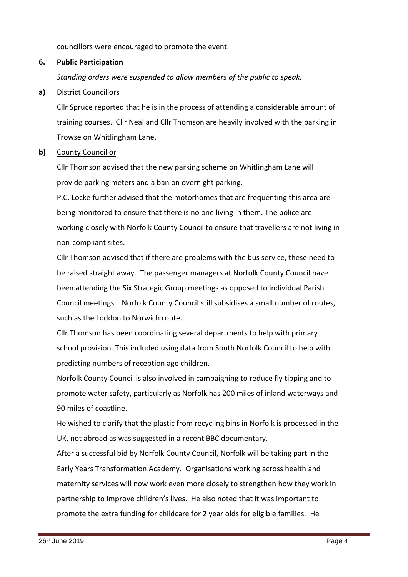councillors were encouraged to promote the event.

### **6. Public Participation**

*Standing orders were suspended to allow members of the public to speak.*

### **a)** District Councillors

Cllr Spruce reported that he is in the process of attending a considerable amount of training courses. Cllr Neal and Cllr Thomson are heavily involved with the parking in Trowse on Whitlingham Lane.

### **b)** County Councillor

Cllr Thomson advised that the new parking scheme on Whitlingham Lane will provide parking meters and a ban on overnight parking.

P.C. Locke further advised that the motorhomes that are frequenting this area are being monitored to ensure that there is no one living in them. The police are working closely with Norfolk County Council to ensure that travellers are not living in non-compliant sites.

Cllr Thomson advised that if there are problems with the bus service, these need to be raised straight away. The passenger managers at Norfolk County Council have been attending the Six Strategic Group meetings as opposed to individual Parish Council meetings. Norfolk County Council still subsidises a small number of routes, such as the Loddon to Norwich route.

Cllr Thomson has been coordinating several departments to help with primary school provision. This included using data from South Norfolk Council to help with predicting numbers of reception age children.

Norfolk County Council is also involved in campaigning to reduce fly tipping and to promote water safety, particularly as Norfolk has 200 miles of inland waterways and 90 miles of coastline.

He wished to clarify that the plastic from recycling bins in Norfolk is processed in the UK, not abroad as was suggested in a recent BBC documentary.

After a successful bid by Norfolk County Council, Norfolk will be taking part in the Early Years Transformation Academy. Organisations working across health and maternity services will now work even more closely to strengthen how they work in partnership to improve children's lives. He also noted that it was important to promote the extra funding for childcare for 2 year olds for eligible families. He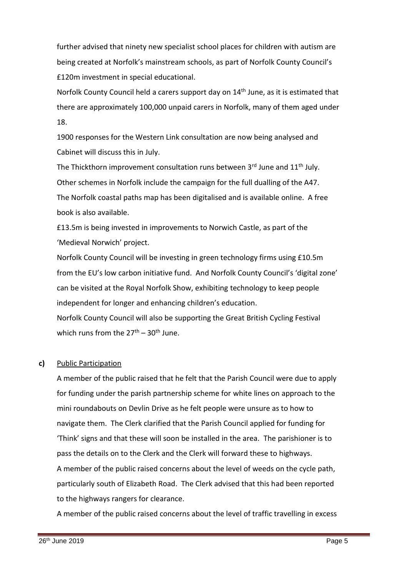further advised that ninety new specialist school places for children with autism are being created at Norfolk's mainstream schools, as part of Norfolk County Council's £120m investment in special educational.

Norfolk County Council held a carers support day on 14<sup>th</sup> June, as it is estimated that there are approximately 100,000 unpaid carers in Norfolk, many of them aged under 18.

1900 responses for the Western Link consultation are now being analysed and Cabinet will discuss this in July.

The Thickthorn improvement consultation runs between  $3^{rd}$  June and  $11^{th}$  July. Other schemes in Norfolk include the campaign for the full dualling of the A47. The Norfolk coastal paths map has been digitalised and is available online. A free book is also available.

£13.5m is being invested in improvements to Norwich Castle, as part of the 'Medieval Norwich' project.

Norfolk County Council will be investing in green technology firms using £10.5m from the EU's low carbon initiative fund. And Norfolk County Council's 'digital zone' can be visited at the Royal Norfolk Show, exhibiting technology to keep people independent for longer and enhancing children's education.

Norfolk County Council will also be supporting the Great British Cycling Festival which runs from the  $27<sup>th</sup> - 30<sup>th</sup>$  June.

### **c)** Public Participation

A member of the public raised that he felt that the Parish Council were due to apply for funding under the parish partnership scheme for white lines on approach to the mini roundabouts on Devlin Drive as he felt people were unsure as to how to navigate them. The Clerk clarified that the Parish Council applied for funding for 'Think' signs and that these will soon be installed in the area. The parishioner is to pass the details on to the Clerk and the Clerk will forward these to highways. A member of the public raised concerns about the level of weeds on the cycle path, particularly south of Elizabeth Road. The Clerk advised that this had been reported to the highways rangers for clearance.

A member of the public raised concerns about the level of traffic travelling in excess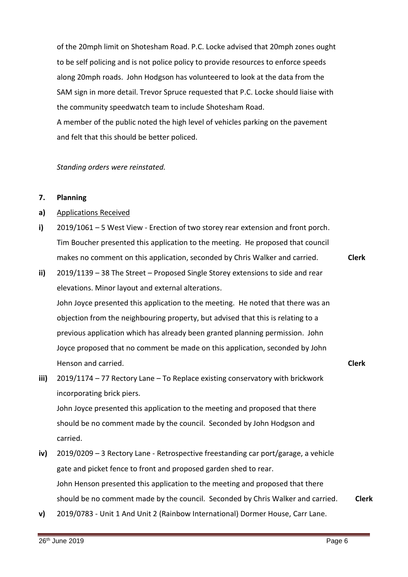of the 20mph limit on Shotesham Road. P.C. Locke advised that 20mph zones ought to be self policing and is not police policy to provide resources to enforce speeds along 20mph roads. John Hodgson has volunteered to look at the data from the SAM sign in more detail. Trevor Spruce requested that P.C. Locke should liaise with the community speedwatch team to include Shotesham Road. A member of the public noted the high level of vehicles parking on the pavement and felt that this should be better policed.

*Standing orders were reinstated.* 

#### **7. Planning**

- **a)** Applications Received
- **i)** 2019/1061 – 5 West View - Erection of two storey rear extension and front porch. Tim Boucher presented this application to the meeting. He proposed that council makes no comment on this application, seconded by Chris Walker and carried.
- **ii)** 2019/1139 – 38 The Street – Proposed Single Storey extensions to side and rear elevations. Minor layout and external alterations. John Joyce presented this application to the meeting. He noted that there was an objection from the neighbouring property, but advised that this is relating to a previous application which has already been granted planning permission. John Joyce proposed that no comment be made on this application, seconded by John Henson and carried. **Clerk**
- **iii)** 2019/1174 – 77 Rectory Lane – To Replace existing conservatory with brickwork incorporating brick piers. John Joyce presented this application to the meeting and proposed that there should be no comment made by the council. Seconded by John Hodgson and carried.
- **iv)** 2019/0209 – 3 Rectory Lane - Retrospective freestanding car port/garage, a vehicle gate and picket fence to front and proposed garden shed to rear. John Henson presented this application to the meeting and proposed that there should be no comment made by the council. Seconded by Chris Walker and carried. **Clerk**
- **v)** 2019/0783 - Unit 1 And Unit 2 (Rainbow International) Dormer House, Carr Lane.

**Clerk**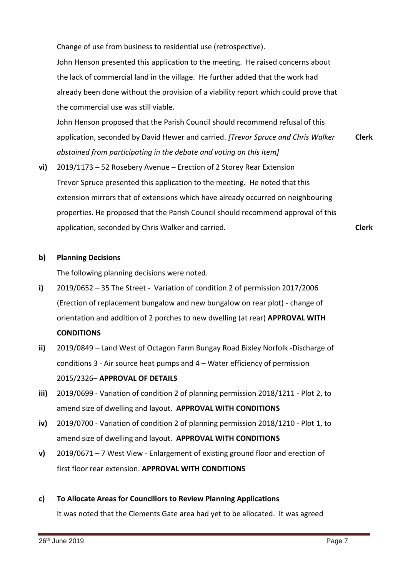Change of use from business to residential use (retrospective). John Henson presented this application to the meeting. He raised concerns about the lack of commercial land in the village. He further added that the work had already been done without the provision of a viability report which could prove that the commercial use was still viable.

John Henson proposed that the Parish Council should recommend refusal of this application, seconded by David Hewer and carried. *[Trevor Spruce and Chris Walker abstained from participating in the debate and voting on this item]* **Clerk**

**vi)** 2019/1173 – 52 Rosebery Avenue – Erection of 2 Storey Rear Extension Trevor Spruce presented this application to the meeting. He noted that this extension mirrors that of extensions which have already occurred on neighbouring properties. He proposed that the Parish Council should recommend approval of this application, seconded by Chris Walker and carried.

## **Clerk**

#### **b) Planning Decisions**

The following planning decisions were noted.

- **i)** 2019/0652 – 35 The Street - Variation of condition 2 of permission 2017/2006 (Erection of replacement bungalow and new bungalow on rear plot) - change of orientation and addition of 2 porches to new dwelling (at rear) **APPROVAL WITH CONDITIONS**
- **ii)** 2019/0849 – Land West of Octagon Farm Bungay Road Bixley Norfolk -Discharge of conditions 3 - Air source heat pumps and 4 – Water efficiency of permission 2015/2326– **APPROVAL OF DETAILS**
- **iii)** 2019/0699 - Variation of condition 2 of planning permission 2018/1211 - Plot 2, to amend size of dwelling and layout. **APPROVAL WITH CONDITIONS**
- **iv)** 2019/0700 - Variation of condition 2 of planning permission 2018/1210 - Plot 1, to amend size of dwelling and layout. **APPROVAL WITH CONDITIONS**
- **v)** 2019/0671 – 7 West View - Enlargement of existing ground floor and erection of first floor rear extension. **APPROVAL WITH CONDITIONS**
- **c) To Allocate Areas for Councillors to Review Planning Applications**

It was noted that the Clements Gate area had yet to be allocated. It was agreed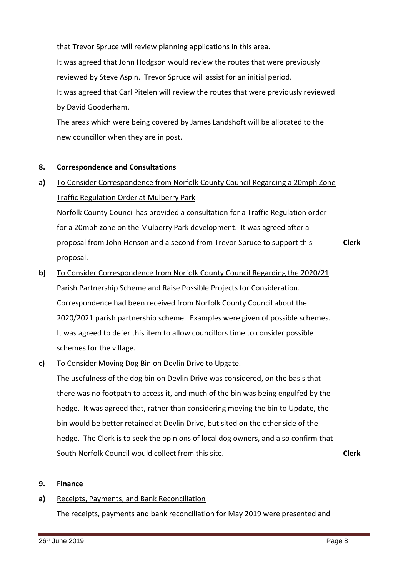that Trevor Spruce will review planning applications in this area. It was agreed that John Hodgson would review the routes that were previously reviewed by Steve Aspin. Trevor Spruce will assist for an initial period. It was agreed that Carl Pitelen will review the routes that were previously reviewed by David Gooderham.

The areas which were being covered by James Landshoft will be allocated to the new councillor when they are in post.

#### **8. Correspondence and Consultations**

**a)** To Consider Correspondence from Norfolk County Council Regarding a 20mph Zone Traffic Regulation Order at Mulberry Park

Norfolk County Council has provided a consultation for a Traffic Regulation order for a 20mph zone on the Mulberry Park development. It was agreed after a proposal from John Henson and a second from Trevor Spruce to support this proposal. **Clerk**

- **b)**  To Consider Correspondence from Norfolk County Council Regarding the 2020/21 Parish Partnership Scheme and Raise Possible Projects for Consideration. Correspondence had been received from Norfolk County Council about the 2020/2021 parish partnership scheme. Examples were given of possible schemes. It was agreed to defer this item to allow councillors time to consider possible schemes for the village.
- **c)**  To Consider Moving Dog Bin on Devlin Drive to Upgate.

The usefulness of the dog bin on Devlin Drive was considered, on the basis that there was no footpath to access it, and much of the bin was being engulfed by the hedge. It was agreed that, rather than considering moving the bin to Update, the bin would be better retained at Devlin Drive, but sited on the other side of the hedge. The Clerk is to seek the opinions of local dog owners, and also confirm that South Norfolk Council would collect from this site. **Clerk**

#### **9. Finance**

#### **a)** Receipts, Payments, and Bank Reconciliation

The receipts, payments and bank reconciliation for May 2019 were presented and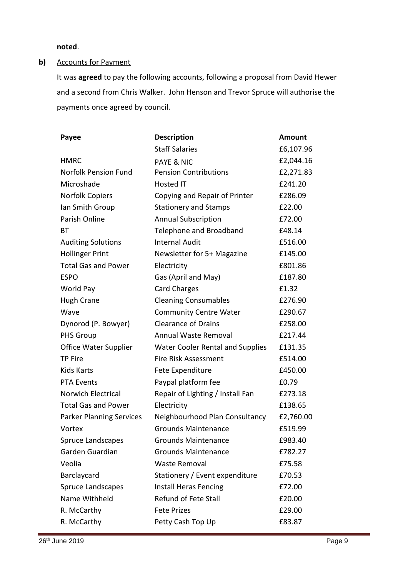**noted**.

### **b)** Accounts for Payment

It was **agreed** to pay the following accounts, following a proposal from David Hewer and a second from Chris Walker. John Henson and Trevor Spruce will authorise the payments once agreed by council.

| Payee                           | <b>Description</b>                      | <b>Amount</b> |
|---------------------------------|-----------------------------------------|---------------|
|                                 | <b>Staff Salaries</b>                   | £6,107.96     |
| <b>HMRC</b>                     | <b>PAYE &amp; NIC</b>                   | £2,044.16     |
| Norfolk Pension Fund            | <b>Pension Contributions</b>            | £2,271.83     |
| Microshade                      | <b>Hosted IT</b>                        | £241.20       |
| <b>Norfolk Copiers</b>          | Copying and Repair of Printer           | £286.09       |
| Ian Smith Group                 | <b>Stationery and Stamps</b>            | £22.00        |
| Parish Online                   | <b>Annual Subscription</b>              | £72.00        |
| ВT                              | Telephone and Broadband                 | £48.14        |
| <b>Auditing Solutions</b>       | <b>Internal Audit</b>                   | £516.00       |
| <b>Hollinger Print</b>          | Newsletter for 5+ Magazine              | £145.00       |
| <b>Total Gas and Power</b>      | Electricity                             | £801.86       |
| <b>ESPO</b>                     | Gas (April and May)                     | £187.80       |
| World Pay                       | <b>Card Charges</b>                     | £1.32         |
| <b>Hugh Crane</b>               | <b>Cleaning Consumables</b>             | £276.90       |
| Wave                            | <b>Community Centre Water</b>           | £290.67       |
| Dynorod (P. Bowyer)             | <b>Clearance of Drains</b>              | £258.00       |
| <b>PHS Group</b>                | Annual Waste Removal                    | £217.44       |
| Office Water Supplier           | <b>Water Cooler Rental and Supplies</b> | £131.35       |
| TP Fire                         | <b>Fire Risk Assessment</b>             | £514.00       |
| <b>Kids Karts</b>               | Fete Expenditure                        | £450.00       |
| <b>PTA Events</b>               | Paypal platform fee                     | £0.79         |
| Norwich Electrical              | Repair of Lighting / Install Fan        | £273.18       |
| <b>Total Gas and Power</b>      | Electricity                             | £138.65       |
| <b>Parker Planning Services</b> | Neighbourhood Plan Consultancy          | £2,760.00     |
| Vortex                          | <b>Grounds Maintenance</b>              | £519.99       |
| <b>Spruce Landscapes</b>        | <b>Grounds Maintenance</b>              | £983.40       |
| Garden Guardian                 | <b>Grounds Maintenance</b>              | £782.27       |
| Veolia                          | Waste Removal                           | £75.58        |
| Barclaycard                     | Stationery / Event expenditure          | £70.53        |
| Spruce Landscapes               | <b>Install Heras Fencing</b>            | £72.00        |
| Name Withheld                   | <b>Refund of Fete Stall</b>             | £20.00        |
| R. McCarthy                     | <b>Fete Prizes</b>                      | £29.00        |
| R. McCarthy                     | Petty Cash Top Up                       | £83.87        |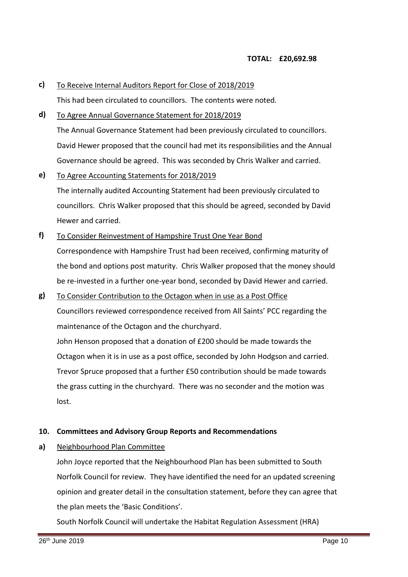- **c)**  To Receive Internal Auditors Report for Close of 2018/2019 This had been circulated to councillors. The contents were noted.
- **d)** To Agree Annual Governance Statement for 2018/2019 The Annual Governance Statement had been previously circulated to councillors. David Hewer proposed that the council had met its responsibilities and the Annual Governance should be agreed. This was seconded by Chris Walker and carried.
- **e)**  To Agree Accounting Statements for 2018/2019 The internally audited Accounting Statement had been previously circulated to councillors. Chris Walker proposed that this should be agreed, seconded by David Hewer and carried.
- **f)**  To Consider Reinvestment of Hampshire Trust One Year Bond Correspondence with Hampshire Trust had been received, confirming maturity of the bond and options post maturity. Chris Walker proposed that the money should be re-invested in a further one-year bond, seconded by David Hewer and carried.
- **g)** To Consider Contribution to the Octagon when in use as a Post Office Councillors reviewed correspondence received from All Saints' PCC regarding the maintenance of the Octagon and the churchyard.

John Henson proposed that a donation of £200 should be made towards the Octagon when it is in use as a post office, seconded by John Hodgson and carried. Trevor Spruce proposed that a further £50 contribution should be made towards the grass cutting in the churchyard. There was no seconder and the motion was lost.

### **10. Committees and Advisory Group Reports and Recommendations**

**a)** Neighbourhood Plan Committee

> John Joyce reported that the Neighbourhood Plan has been submitted to South Norfolk Council for review. They have identified the need for an updated screening opinion and greater detail in the consultation statement, before they can agree that the plan meets the 'Basic Conditions'.

South Norfolk Council will undertake the Habitat Regulation Assessment (HRA)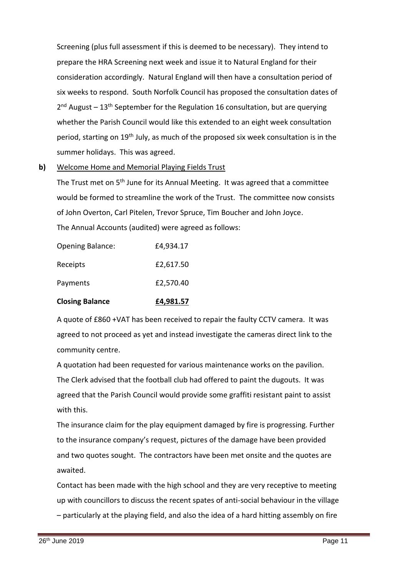Screening (plus full assessment if this is deemed to be necessary). They intend to prepare the HRA Screening next week and issue it to Natural England for their consideration accordingly. Natural England will then have a consultation period of six weeks to respond. South Norfolk Council has proposed the consultation dates of 2<sup>nd</sup> August – 13<sup>th</sup> September for the Regulation 16 consultation, but are querying whether the Parish Council would like this extended to an eight week consultation period, starting on 19th July, as much of the proposed six week consultation is in the summer holidays. This was agreed.

**b)**  Welcome Home and Memorial Playing Fields Trust

The Trust met on 5<sup>th</sup> June for its Annual Meeting. It was agreed that a committee would be formed to streamline the work of the Trust. The committee now consists of John Overton, Carl Pitelen, Trevor Spruce, Tim Boucher and John Joyce. The Annual Accounts (audited) were agreed as follows:

| <b>Closing Balance</b>  | £4,981.57 |
|-------------------------|-----------|
| Payments                | £2,570.40 |
| Receipts                | £2,617.50 |
| <b>Opening Balance:</b> | £4,934.17 |

A quote of £860 +VAT has been received to repair the faulty CCTV camera. It was agreed to not proceed as yet and instead investigate the cameras direct link to the community centre.

A quotation had been requested for various maintenance works on the pavilion. The Clerk advised that the football club had offered to paint the dugouts. It was agreed that the Parish Council would provide some graffiti resistant paint to assist with this.

The insurance claim for the play equipment damaged by fire is progressing. Further to the insurance company's request, pictures of the damage have been provided and two quotes sought. The contractors have been met onsite and the quotes are awaited.

Contact has been made with the high school and they are very receptive to meeting up with councillors to discuss the recent spates of anti-social behaviour in the village – particularly at the playing field, and also the idea of a hard hitting assembly on fire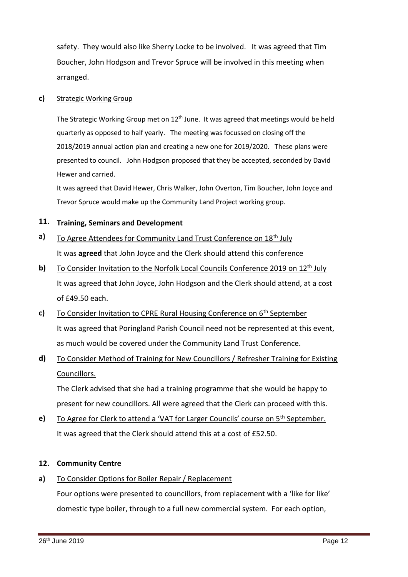safety. They would also like Sherry Locke to be involved. It was agreed that Tim Boucher, John Hodgson and Trevor Spruce will be involved in this meeting when arranged.

#### **c)** Strategic Working Group

The Strategic Working Group met on 12<sup>th</sup> June. It was agreed that meetings would be held quarterly as opposed to half yearly. The meeting was focussed on closing off the 2018/2019 annual action plan and creating a new one for 2019/2020. These plans were presented to council. John Hodgson proposed that they be accepted, seconded by David Hewer and carried.

It was agreed that David Hewer, Chris Walker, John Overton, Tim Boucher, John Joyce and Trevor Spruce would make up the Community Land Project working group.

### **11. Training, Seminars and Development**

- **a)**  To Agree Attendees for Community Land Trust Conference on 18th July It was **agreed** that John Joyce and the Clerk should attend this conference
- **b)**  To Consider Invitation to the Norfolk Local Councils Conference 2019 on 12<sup>th</sup> July It was agreed that John Joyce, John Hodgson and the Clerk should attend, at a cost of £49.50 each.
- **c)**  To Consider Invitation to CPRE Rural Housing Conference on 6<sup>th</sup> September It was agreed that Poringland Parish Council need not be represented at this event, as much would be covered under the Community Land Trust Conference.
- **d)** To Consider Method of Training for New Councillors / Refresher Training for Existing Councillors.

The Clerk advised that she had a training programme that she would be happy to present for new councillors. All were agreed that the Clerk can proceed with this.

**e)**  To Agree for Clerk to attend a 'VAT for Larger Councils' course on 5<sup>th</sup> September. It was agreed that the Clerk should attend this at a cost of £52.50.

### **12. Community Centre**

**a)** To Consider Options for Boiler Repair / Replacement

Four options were presented to councillors, from replacement with a 'like for like' domestic type boiler, through to a full new commercial system. For each option,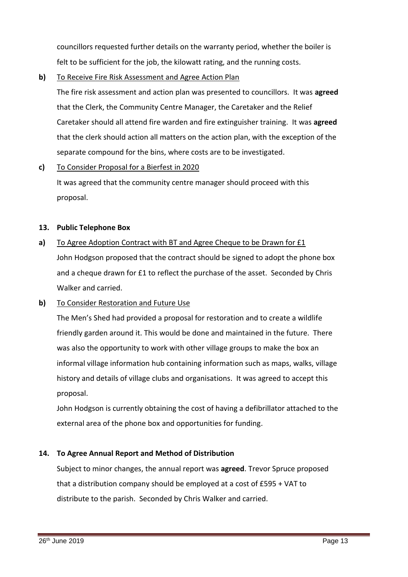councillors requested further details on the warranty period, whether the boiler is felt to be sufficient for the job, the kilowatt rating, and the running costs.

**b)** To Receive Fire Risk Assessment and Agree Action Plan

The fire risk assessment and action plan was presented to councillors. It was **agreed** that the Clerk, the Community Centre Manager, the Caretaker and the Relief Caretaker should all attend fire warden and fire extinguisher training. It was **agreed** that the clerk should action all matters on the action plan, with the exception of the separate compound for the bins, where costs are to be investigated.

**c)**  To Consider Proposal for a Bierfest in 2020

> It was agreed that the community centre manager should proceed with this proposal.

### **13. Public Telephone Box**

**a)** To Agree Adoption Contract with BT and Agree Cheque to be Drawn for £1 John Hodgson proposed that the contract should be signed to adopt the phone box and a cheque drawn for £1 to reflect the purchase of the asset. Seconded by Chris Walker and carried.

#### **b)**  To Consider Restoration and Future Use

The Men's Shed had provided a proposal for restoration and to create a wildlife friendly garden around it. This would be done and maintained in the future. There was also the opportunity to work with other village groups to make the box an informal village information hub containing information such as maps, walks, village history and details of village clubs and organisations. It was agreed to accept this proposal.

John Hodgson is currently obtaining the cost of having a defibrillator attached to the external area of the phone box and opportunities for funding.

### **14. To Agree Annual Report and Method of Distribution**

Subject to minor changes, the annual report was **agreed**. Trevor Spruce proposed that a distribution company should be employed at a cost of £595 + VAT to distribute to the parish. Seconded by Chris Walker and carried.